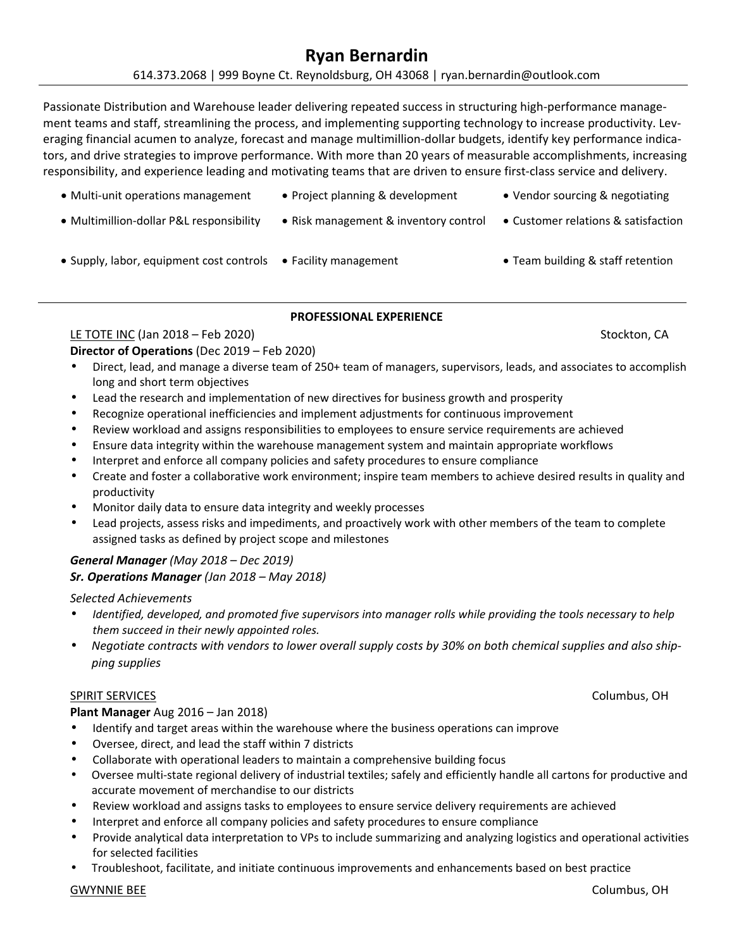## 614.373.2068 | 999 Boyne Ct. Reynoldsburg, OH 43068 | ryan.bernardin@outlook.com

Passionate Distribution and Warehouse leader delivering repeated success in structuring high‐performance manage‐ ment teams and staff, streamlining the process, and implementing supporting technology to increase productivity. Leveraging financial acumen to analyze, forecast and manage multimillion-dollar budgets, identify key performance indicators, and drive strategies to improve performance. With more than 20 years of measurable accomplishments, increasing responsibility, and experience leading and motivating teams that are driven to ensure first-class service and delivery.

- Multi-unit operations management Project planning & development Vendor sourcing & negotiating
- Multimillion-dollar P&L responsibility Risk management & inventory control Customer relations & satisfaction
- Supply, labor, equipment cost controls Facility management Team building & staff retention

# **PROFESSIONAL EXPERIENCE**

# <u>LE TOTE INC</u> (Jan 2018 – Feb 2020) Stockton, CA

**Director of Operations** (Dec 2019 – Feb 2020)

- Direct, lead, and manage a diverse team of 250+ team of managers, supervisors, leads, and associates to accomplish long and short term objectives
- Lead the research and implementation of new directives for business growth and prosperity
- Recognize operational inefficiencies and implement adjustments for continuous improvement
- Review workload and assigns responsibilities to employees to ensure service requirements are achieved
- Ensure data integrity within the warehouse management system and maintain appropriate workflows
- Interpret and enforce all company policies and safety procedures to ensure compliance
- Create and foster a collaborative work environment; inspire team members to achieve desired results in quality and productivity
- Monitor daily data to ensure data integrity and weekly processes
- Lead projects, assess risks and impediments, and proactively work with other members of the team to complete assigned tasks as defined by project scope and milestones

## *General Manager (May 2018 – Dec 2019) Sr. Operations Manager (Jan 2018 – May 2018)*

### *Selected Achievements*

- *Identified, developed, and promoted five supervisors into manager rolls while providing the tools necessary to help them succeed in their newly appointed roles.*
- *Negotiate contracts with vendors to lower overall supply costs by 30% on both chemical supplies and also ship‐ ping supplies*

### SPIRIT SERVICES Columbus, OH

## **Plant Manager** Aug 2016 – Jan 2018)

- Identify and target areas within the warehouse where the business operations can improve
- Oversee, direct, and lead the staff within 7 districts
- Collaborate with operational leaders to maintain a comprehensive building focus
- Oversee multi‐state regional delivery of industrial textiles; safely and efficiently handle all cartons for productive and accurate movement of merchandise to our districts
- Review workload and assigns tasks to employees to ensure service delivery requirements are achieved
- Interpret and enforce all company policies and safety procedures to ensure compliance
- Provide analytical data interpretation to VPs to include summarizing and analyzing logistics and operational activities for selected facilities
- Troubleshoot, facilitate, and initiate continuous improvements and enhancements based on best practice

### GWYNNIE BEE GEES AND THE COLUMBUS, OH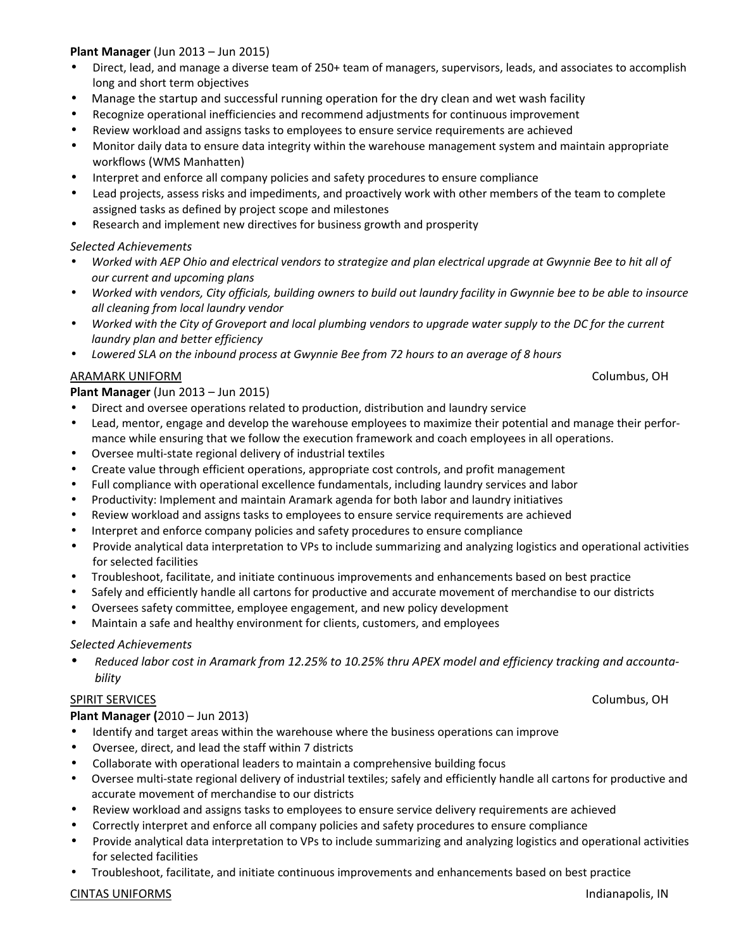## **Plant Manager** (Jun 2013 – Jun 2015)

- Direct, lead, and manage a diverse team of 250+ team of managers, supervisors, leads, and associates to accomplish long and short term objectives
- Manage the startup and successful running operation for the dry clean and wet wash facility
- Recognize operational inefficiencies and recommend adjustments for continuous improvement
- Review workload and assigns tasks to employees to ensure service requirements are achieved
- Monitor daily data to ensure data integrity within the warehouse management system and maintain appropriate workflows (WMS Manhatten)
- Interpret and enforce all company policies and safety procedures to ensure compliance
- Lead projects, assess risks and impediments, and proactively work with other members of the team to complete assigned tasks as defined by project scope and milestones
- Research and implement new directives for business growth and prosperity

### *Selected Achievements*

- *Worked with AEP Ohio and electrical vendors to strategize and plan electrical upgrade at Gwynnie Bee to hit all of our current and upcoming plans*
- *Worked with vendors, City officials, building owners to build out laundry facility in Gwynnie bee to be able to insource all cleaning from local laundry vendor*
- *Worked with the City of Groveport and local plumbing vendors to upgrade water supply to the DC for the current laundry plan and better efficiency*
- *Lowered SLA on the inbound process at Gwynnie Bee from 72 hours to an average of 8 hours*

### ARAMARK UNIFORM Columbus, OH

### **Plant Manager** (Jun 2013 – Jun 2015)

- Direct and oversee operations related to production, distribution and laundry service
- Lead, mentor, engage and develop the warehouse employees to maximize their potential and manage their performance while ensuring that we follow the execution framework and coach employees in all operations.
- Oversee multi‐state regional delivery of industrial textiles
- Create value through efficient operations, appropriate cost controls, and profit management
- Full compliance with operational excellence fundamentals, including laundry services and labor
- Productivity: Implement and maintain Aramark agenda for both labor and laundry initiatives
- Review workload and assigns tasks to employees to ensure service requirements are achieved
- Interpret and enforce company policies and safety procedures to ensure compliance
- Provide analytical data interpretation to VPs to include summarizing and analyzing logistics and operational activities for selected facilities
- Troubleshoot, facilitate, and initiate continuous improvements and enhancements based on best practice
- Safely and efficiently handle all cartons for productive and accurate movement of merchandise to our districts
- Oversees safety committee, employee engagement, and new policy development
- Maintain a safe and healthy environment for clients, customers, and employees

### *Selected Achievements*

• *Reduced labor cost in Aramark from 12.25% to 10.25% thru APEX model and efficiency tracking and accounta‐ bility* 

### SPIRIT SERVICES Columbus, OH

### **Plant Manager (**2010 – Jun 2013)

- Identify and target areas within the warehouse where the business operations can improve
- Oversee, direct, and lead the staff within 7 districts
- Collaborate with operational leaders to maintain a comprehensive building focus
- Oversee multi‐state regional delivery of industrial textiles; safely and efficiently handle all cartons for productive and accurate movement of merchandise to our districts
- Review workload and assigns tasks to employees to ensure service delivery requirements are achieved
- Correctly interpret and enforce all company policies and safety procedures to ensure compliance
- Provide analytical data interpretation to VPs to include summarizing and analyzing logistics and operational activities for selected facilities
- Troubleshoot, facilitate, and initiate continuous improvements and enhancements based on best practice

### CINTAS UNIFORMS Indianapolis, IN